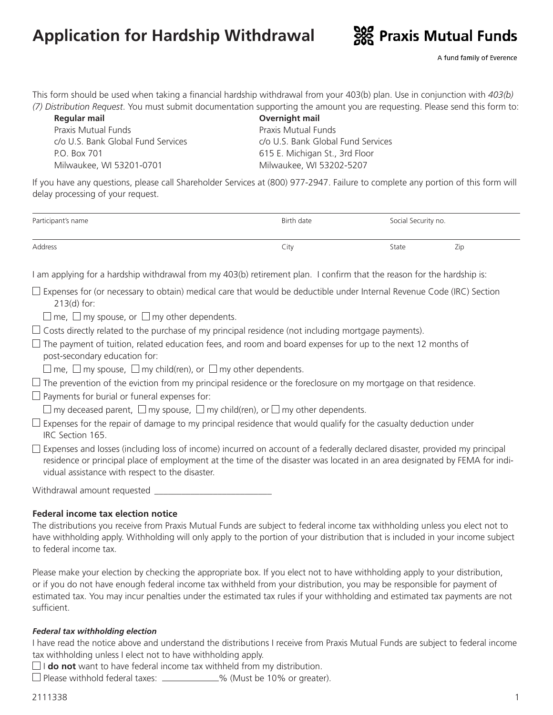# **Application for Hardship Withdrawal**



This form should be used when taking a financial hardship withdrawal from your 403(b) plan. Use in conjunction with *403(b) (7) Distribution Request*. You must submit documentation supporting the amount you are requesting. Please send this form to:

| Regular mail                       | Overnight mail   |  |
|------------------------------------|------------------|--|
| Praxis Mutual Funds                | Praxis Mutual Fu |  |
| c/o U.S. Bank Global Fund Services | c/o U.S. Bank Gl |  |
| P.O. Box 701                       | 615 E. Michigan  |  |
| Milwaukee, WI 53201-0701           | Milwaukee, WI!   |  |

Praxis Mutual Funds c/o U.S. Bank Global Fund Services 615 E. Michigan St., 3rd Floor Milwaukee, WI 53202-5207

If you have any questions, please call Shareholder Services at (800) 977-2947. Failure to complete any portion of this form will delay processing of your request.

| Participant's name | Birth date | Social Security no. |     |
|--------------------|------------|---------------------|-----|
| Address            | City       | State               | Zip |

I am applying for a hardship withdrawal from my 403(b) retirement plan. I confirm that the reason for the hardship is:

 $\Box$  Expenses for (or necessary to obtain) medical care that would be deductible under Internal Revenue Code (IRC) Section 213(d) for:

 $\Box$  me,  $\Box$  my spouse, or  $\Box$  my other dependents.

 $\Box$  Costs directly related to the purchase of my principal residence (not including mortgage payments).

- $\Box$  The payment of tuition, related education fees, and room and board expenses for up to the next 12 months of post-secondary education for:
- $\Box$  me,  $\Box$  my spouse,  $\Box$  my child(ren), or  $\Box$  my other dependents.

 $\Box$  The prevention of the eviction from my principal residence or the foreclosure on my mortgage on that residence.

 $\Box$  Payments for burial or funeral expenses for:

 $\Box$  my deceased parent,  $\Box$  my spouse,  $\Box$  my child(ren), or  $\Box$  my other dependents.

- $\Box$  Expenses for the repair of damage to my principal residence that would qualify for the casualty deduction under IRC Section 165.
- $\square$  Expenses and losses (including loss of income) incurred on account of a federally declared disaster, provided my principal residence or principal place of employment at the time of the disaster was located in an area designated by FEMA for individual assistance with respect to the disaster.

| Withdrawal amount requested |  |
|-----------------------------|--|
|-----------------------------|--|

### **Federal income tax election notice**

The distributions you receive from Praxis Mutual Funds are subject to federal income tax withholding unless you elect not to have withholding apply. Withholding will only apply to the portion of your distribution that is included in your income subject to federal income tax.

Please make your election by checking the appropriate box. If you elect not to have withholding apply to your distribution, or if you do not have enough federal income tax withheld from your distribution, you may be responsible for payment of estimated tax. You may incur penalties under the estimated tax rules if your withholding and estimated tax payments are not sufficient.

#### *Federal tax withholding election*

I have read the notice above and understand the distributions I receive from Praxis Mutual Funds are subject to federal income tax withholding unless I elect not to have withholding apply.

 $\Box$ **I do not** want to have federal income tax withheld from my distribution.

 $\Box$  Please withhold federal taxes:  $\Box$  % (Must be 10% or greater).